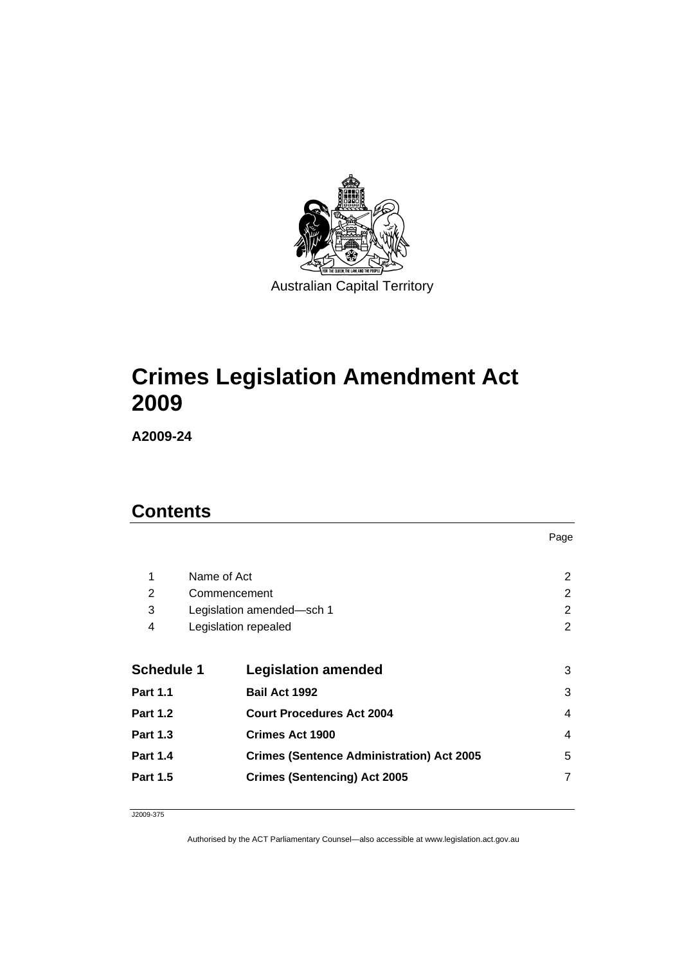

# **[Crimes Legislation Amendment Act](#page-2-0)  [2009](#page-2-0)**

**A2009-24** 

# **Contents**

|                   |                                                  | Page           |
|-------------------|--------------------------------------------------|----------------|
| 1                 | Name of Act                                      | 2              |
| 2                 | Commencement                                     | 2              |
| 3                 | Legislation amended-sch 1                        | 2              |
| 4                 | Legislation repealed                             | $\overline{2}$ |
| <b>Schedule 1</b> | <b>Legislation amended</b>                       | 3              |
| <b>Part 1.1</b>   | <b>Bail Act 1992</b>                             | 3              |
| <b>Part 1.2</b>   | <b>Court Procedures Act 2004</b>                 | 4              |
| <b>Part 1.3</b>   | <b>Crimes Act 1900</b>                           | 4              |
| <b>Part 1.4</b>   | <b>Crimes (Sentence Administration) Act 2005</b> | 5              |
| <b>Part 1.5</b>   | <b>Crimes (Sentencing) Act 2005</b>              | 7              |
|                   |                                                  |                |

J2009-375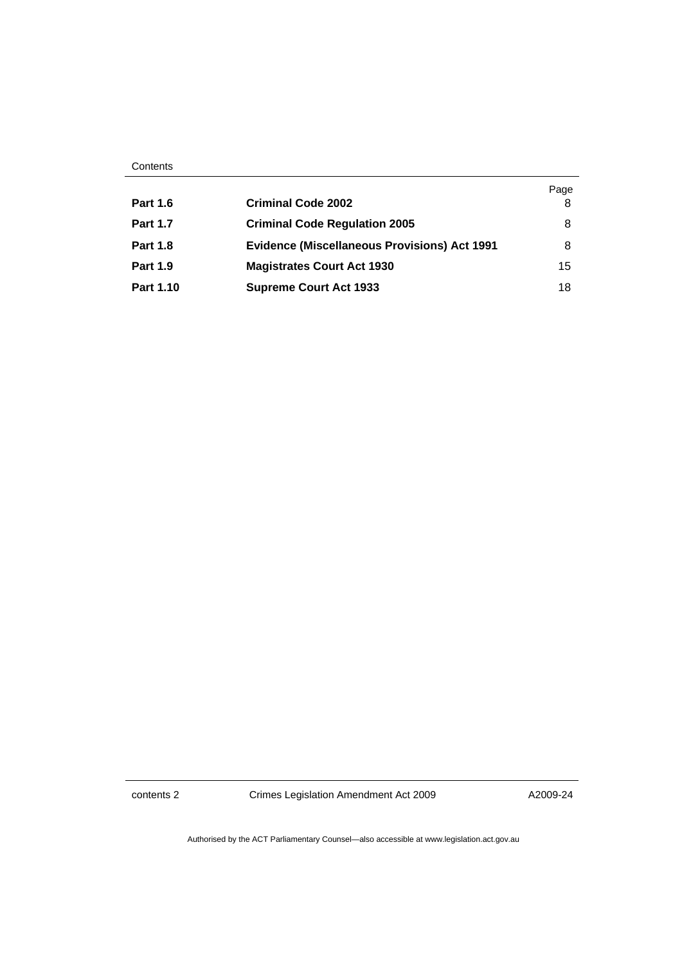| Contents |
|----------|
|----------|

|                  |                                                     | Page |
|------------------|-----------------------------------------------------|------|
| <b>Part 1.6</b>  | <b>Criminal Code 2002</b>                           | 8    |
| <b>Part 1.7</b>  | <b>Criminal Code Regulation 2005</b>                | 8    |
| <b>Part 1.8</b>  | <b>Evidence (Miscellaneous Provisions) Act 1991</b> | 8    |
| <b>Part 1.9</b>  | <b>Magistrates Court Act 1930</b>                   | 15   |
| <b>Part 1.10</b> | <b>Supreme Court Act 1933</b>                       | 18   |

contents 2 Crimes Legislation Amendment Act 2009

A2009-24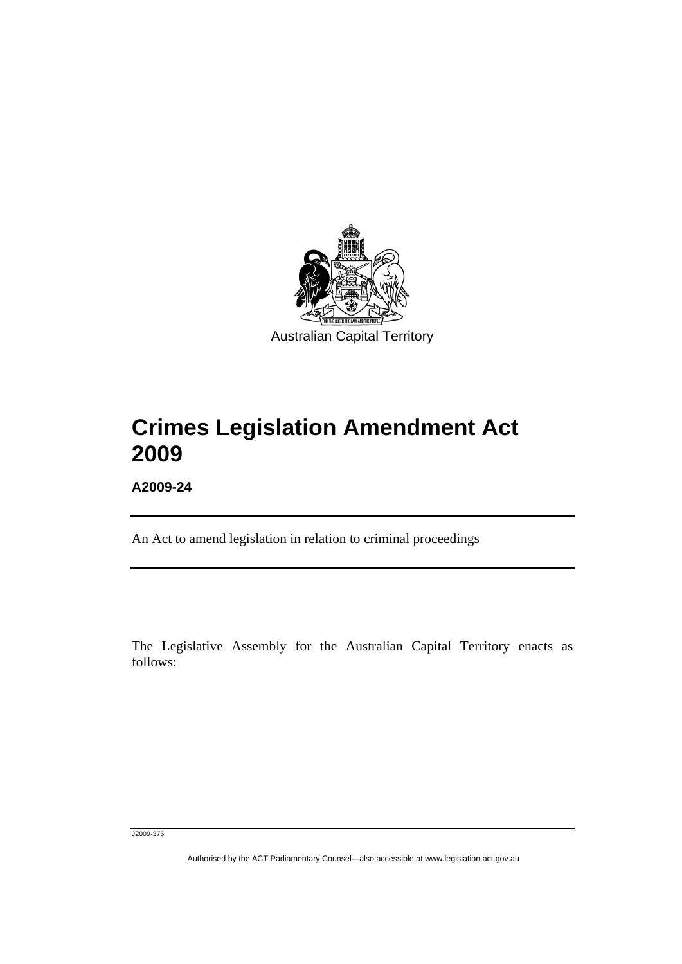<span id="page-2-0"></span>

# **Crimes Legislation Amendment Act 2009**

**A2009-24** 

l

An Act to amend legislation in relation to criminal proceedings

The Legislative Assembly for the Australian Capital Territory enacts as follows:

J2009-375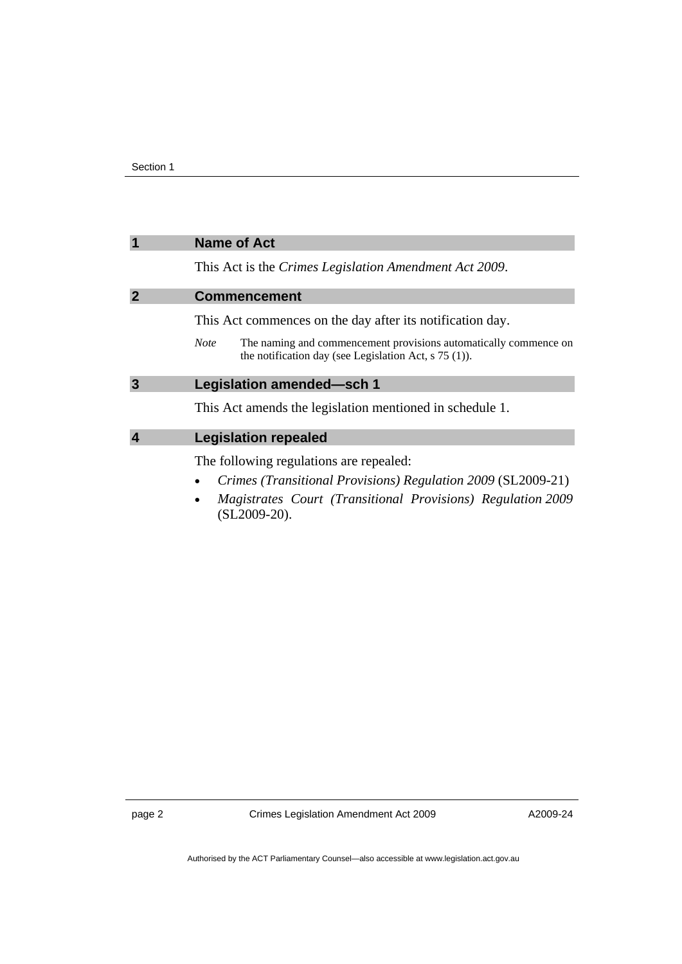### <span id="page-3-0"></span>**1 Name of Act**

This Act is the *Crimes Legislation Amendment Act 2009*.

#### **2 Commencement**

This Act commences on the day after its notification day.

*Note* The naming and commencement provisions automatically commence on the notification day (see Legislation Act, s 75 (1)).

## **3 Legislation amended—sch 1**

This Act amends the legislation mentioned in schedule 1.

### **4 Legislation repealed**

The following regulations are repealed:

- *Crimes (Transitional Provisions) Regulation 2009* (SL2009-21)
- *Magistrates Court (Transitional Provisions) Regulation 2009* (SL2009-20).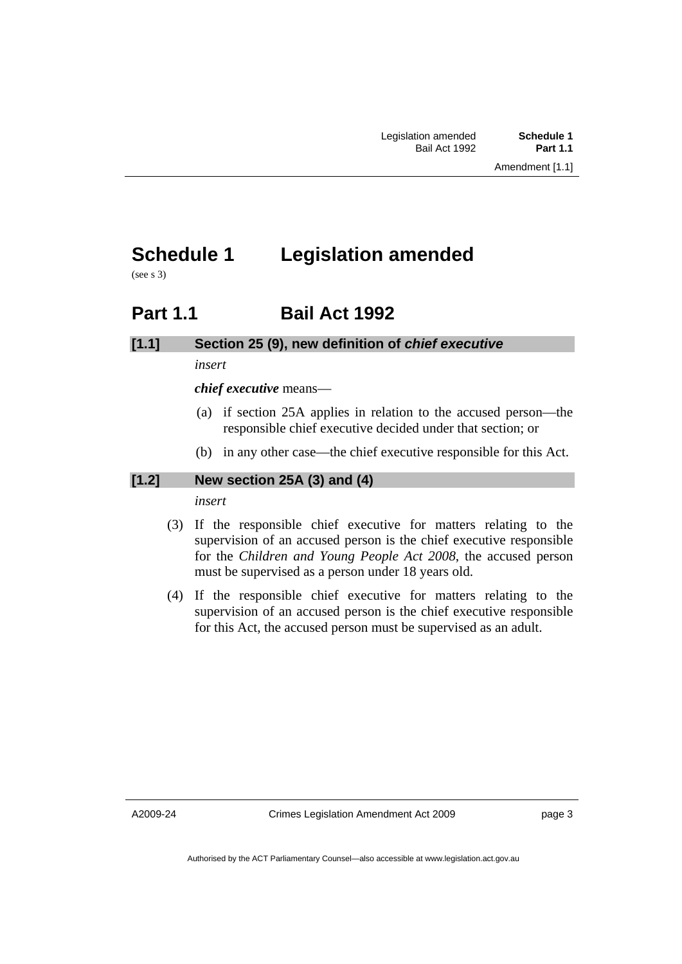# <span id="page-4-0"></span>**Schedule 1 Legislation amended**

(see s 3)

# **Part 1.1 Bail Act 1992**

## **[1.1] Section 25 (9), new definition of** *chief executive*

*insert* 

*chief executive* means—

- (a) if section 25A applies in relation to the accused person—the responsible chief executive decided under that section; or
- (b) in any other case—the chief executive responsible for this Act.

### **[1.2] New section 25A (3) and (4)**

*insert* 

- (3) If the responsible chief executive for matters relating to the supervision of an accused person is the chief executive responsible for the *Children and Young People Act 2008*, the accused person must be supervised as a person under 18 years old.
- (4) If the responsible chief executive for matters relating to the supervision of an accused person is the chief executive responsible for this Act, the accused person must be supervised as an adult.

A2009-24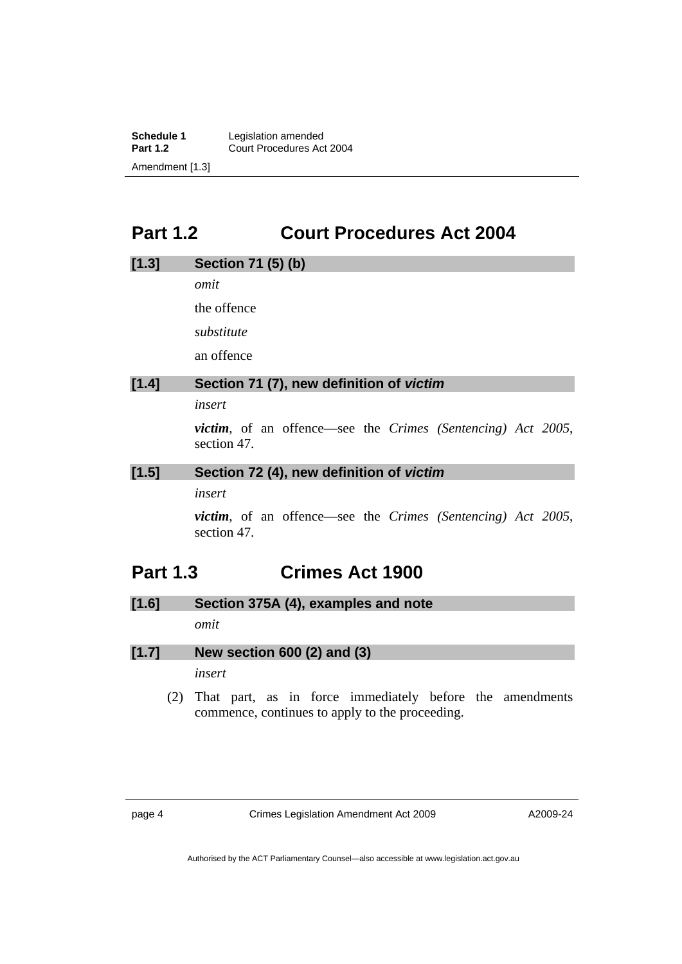<span id="page-5-0"></span>**Schedule 1** Legislation amended<br>**Part 1.2** Court Procedures Ac **Part 1.2** Court Procedures Act 2004 Amendment [1.3]

# **Part 1.2 Court Procedures Act 2004**

# **[1.3] Section 71 (5) (b)**  *omit*  the offence *substitute*  an offence **[1.4] Section 71 (7), new definition of** *victim insert victim*, of an offence—see the *Crimes (Sentencing) Act 2005*, section 47.

#### **[1.5] Section 72 (4), new definition of** *victim*

### *insert*

*victim*, of an offence—see the *Crimes (Sentencing) Act 2005*, section 47.

# **Part 1.3 Crimes Act 1900**

**[1.6] Section 375A (4), examples and note** 

*omit* 

**[1.7] New section 600 (2) and (3)** 

*insert* 

 (2) That part, as in force immediately before the amendments commence, continues to apply to the proceeding.

page 4 Crimes Legislation Amendment Act 2009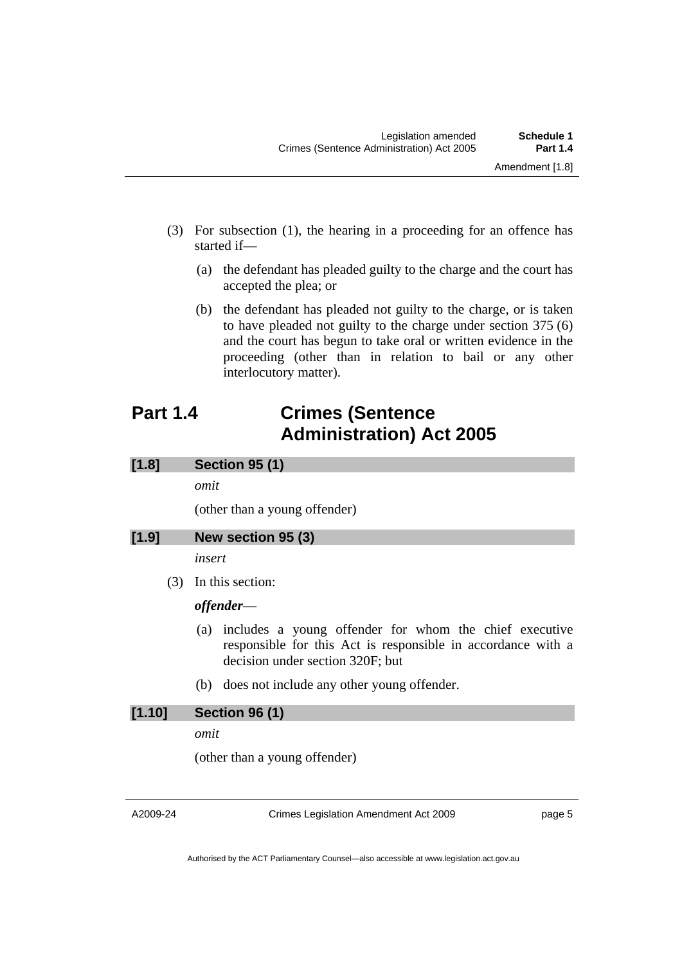- <span id="page-6-0"></span> (3) For subsection (1), the hearing in a proceeding for an offence has started if—
	- (a) the defendant has pleaded guilty to the charge and the court has accepted the plea; or
	- (b) the defendant has pleaded not guilty to the charge, or is taken to have pleaded not guilty to the charge under section 375 (6) and the court has begun to take oral or written evidence in the proceeding (other than in relation to bail or any other interlocutory matter).

# **Part 1.4 Crimes (Sentence Administration) Act 2005**

## **[1.8] Section 95 (1)**

*omit* 

(other than a young offender)

## **[1.9] New section 95 (3)**

*insert* 

(3) In this section:

### *offender*—

- (a) includes a young offender for whom the chief executive responsible for this Act is responsible in accordance with a decision under section 320F; but
- (b) does not include any other young offender.

## **[1.10] Section 96 (1)**

*omit* 

(other than a young offender)

A2009-24

Crimes Legislation Amendment Act 2009

page 5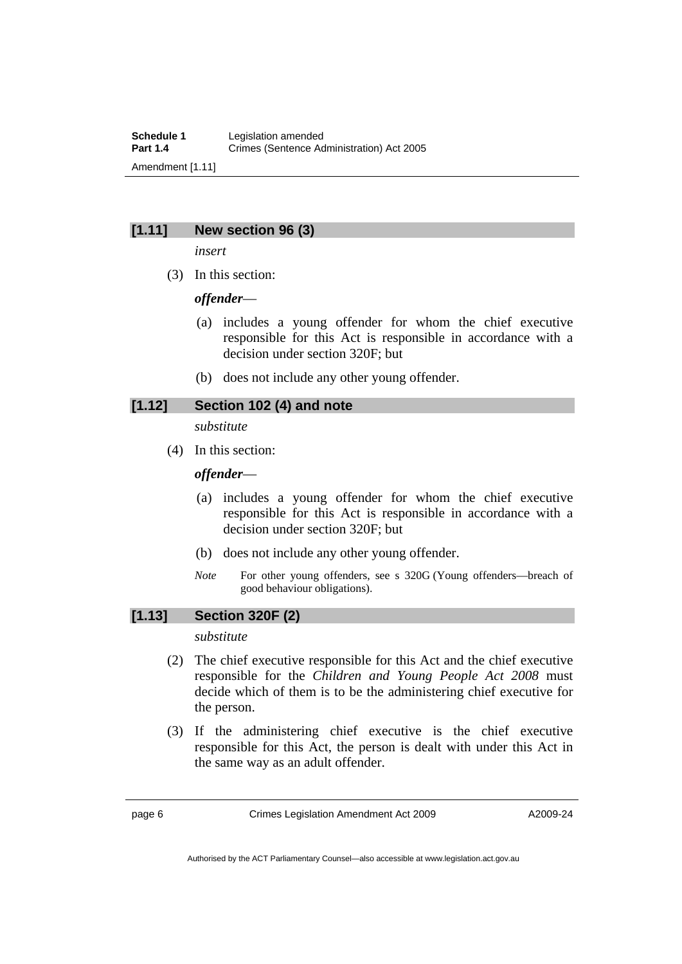### **[1.11] New section 96 (3)**

*insert* 

(3) In this section:

*offender*—

- (a) includes a young offender for whom the chief executive responsible for this Act is responsible in accordance with a decision under section 320F; but
- (b) does not include any other young offender.

### **[1.12] Section 102 (4) and note**

*substitute* 

(4) In this section:

### *offender*—

- (a) includes a young offender for whom the chief executive responsible for this Act is responsible in accordance with a decision under section 320F; but
- (b) does not include any other young offender.
- *Note* For other young offenders, see s 320G (Young offenders—breach of good behaviour obligations).

## **[1.13] Section 320F (2)**

#### *substitute*

- (2) The chief executive responsible for this Act and the chief executive responsible for the *Children and Young People Act 2008* must decide which of them is to be the administering chief executive for the person.
- (3) If the administering chief executive is the chief executive responsible for this Act, the person is dealt with under this Act in the same way as an adult offender.

page 6 Crimes Legislation Amendment Act 2009

Authorised by the ACT Parliamentary Counsel—also accessible at www.legislation.act.gov.au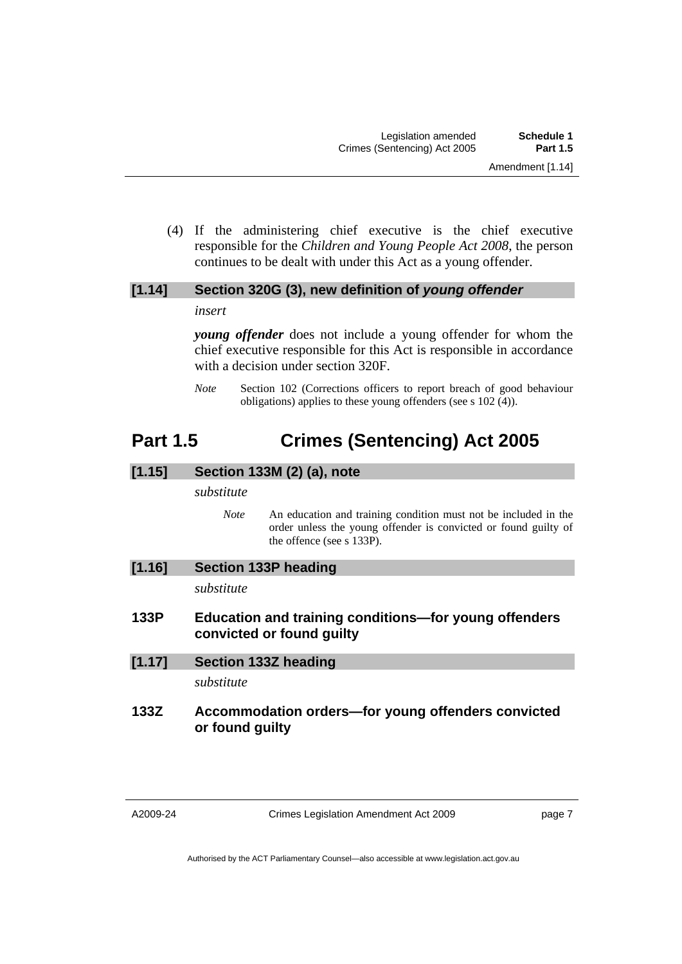<span id="page-8-0"></span> (4) If the administering chief executive is the chief executive responsible for the *Children and Young People Act 2008*, the person continues to be dealt with under this Act as a young offender.

## **[1.14] Section 320G (3), new definition of** *young offender insert*

*young offender* does not include a young offender for whom the chief executive responsible for this Act is responsible in accordance with a decision under section 320F.

*Note* Section 102 (Corrections officers to report breach of good behaviour obligations) applies to these young offenders (see s 102 (4)).

# **Part 1.5 Crimes (Sentencing) Act 2005**

## **[1.15] Section 133M (2) (a), note**

#### *substitute*

*Note* An education and training condition must not be included in the order unless the young offender is convicted or found guilty of the offence (see s 133P).

| [1.16] | <b>Section 133P heading</b> |  |
|--------|-----------------------------|--|
|--------|-----------------------------|--|

*substitute* 

- **133P Education and training conditions—for young offenders convicted or found guilty**
- **[1.17] Section 133Z heading**

*substitute* 

## **133Z Accommodation orders—for young offenders convicted or found guilty**

Crimes Legislation Amendment Act 2009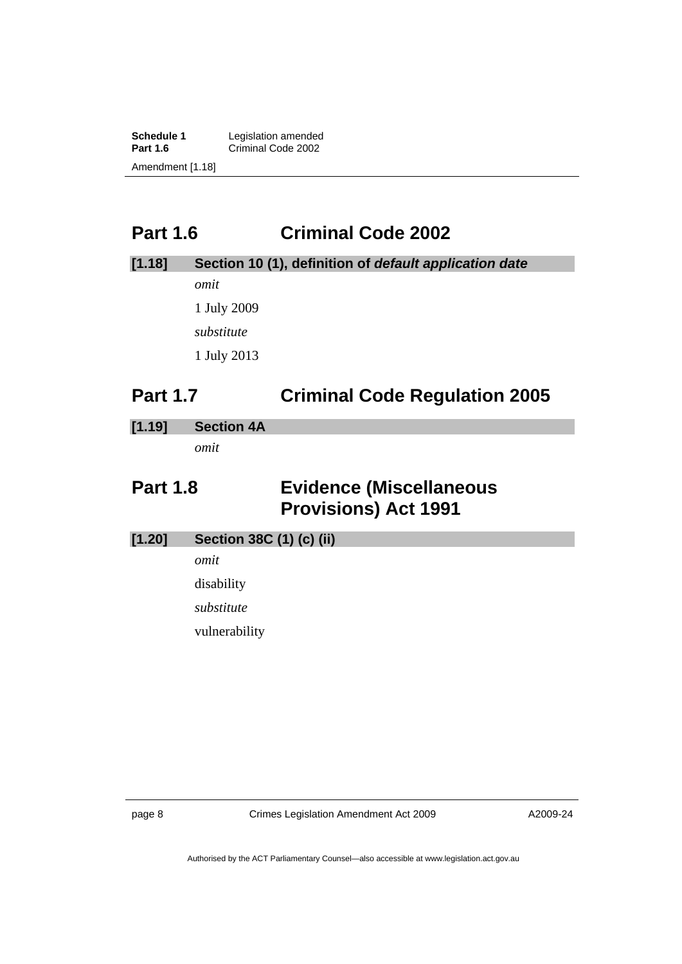<span id="page-9-0"></span>**Schedule 1** Legislation amended<br> **Part 1.6** Criminal Code 2002 Criminal Code 2002 Amendment [1.18]

# **Part 1.6 Criminal Code 2002**

| [1.18] | Section 10 (1), definition of default application date |
|--------|--------------------------------------------------------|
|        | omit                                                   |
|        | 1 July 2009                                            |
|        | substitute                                             |
|        | 1 July 2013                                            |
|        |                                                        |

# **Part 1.7 Criminal Code Regulation 2005**

### **[1.19] Section 4A**

*omit* 

# **Part 1.8 Evidence (Miscellaneous Provisions) Act 1991**

**[1.20] Section 38C (1) (c) (ii)** 

*omit* 

disability

*substitute* 

vulnerability

page 8 Crimes Legislation Amendment Act 2009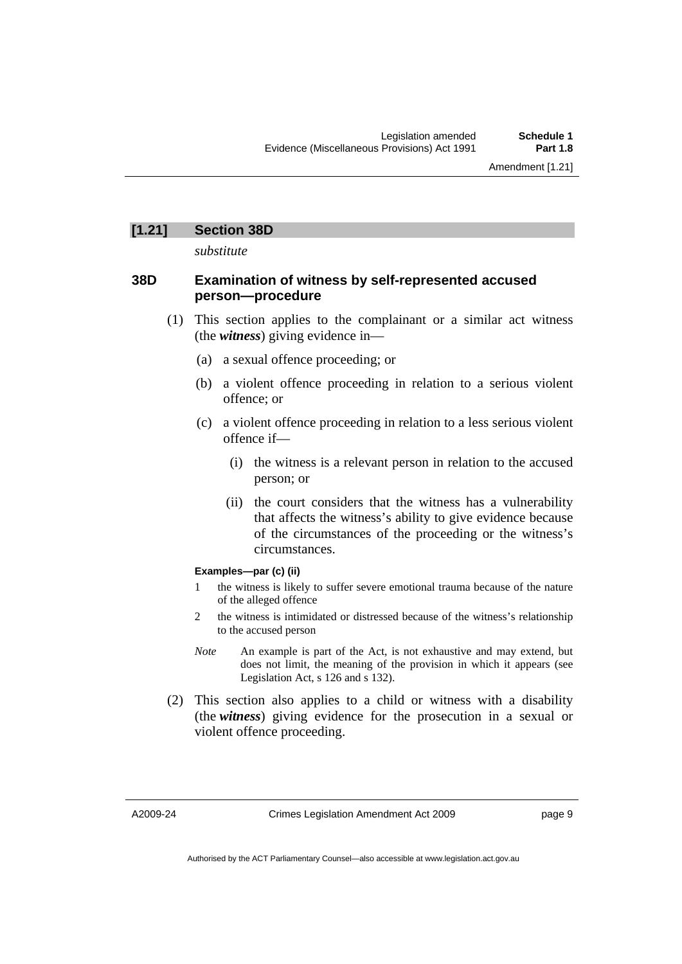### **[1.21] Section 38D**

*substitute* 

#### **38D Examination of witness by self-represented accused person—procedure**

- (1) This section applies to the complainant or a similar act witness (the *witness*) giving evidence in—
	- (a) a sexual offence proceeding; or
	- (b) a violent offence proceeding in relation to a serious violent offence; or
	- (c) a violent offence proceeding in relation to a less serious violent offence if—
		- (i) the witness is a relevant person in relation to the accused person; or
		- (ii) the court considers that the witness has a vulnerability that affects the witness's ability to give evidence because of the circumstances of the proceeding or the witness's circumstances.

#### **Examples—par (c) (ii)**

- 1 the witness is likely to suffer severe emotional trauma because of the nature of the alleged offence
- 2 the witness is intimidated or distressed because of the witness's relationship to the accused person
- *Note* An example is part of the Act, is not exhaustive and may extend, but does not limit, the meaning of the provision in which it appears (see Legislation Act, s 126 and s 132).
- (2) This section also applies to a child or witness with a disability (the *witness*) giving evidence for the prosecution in a sexual or violent offence proceeding.

A2009-24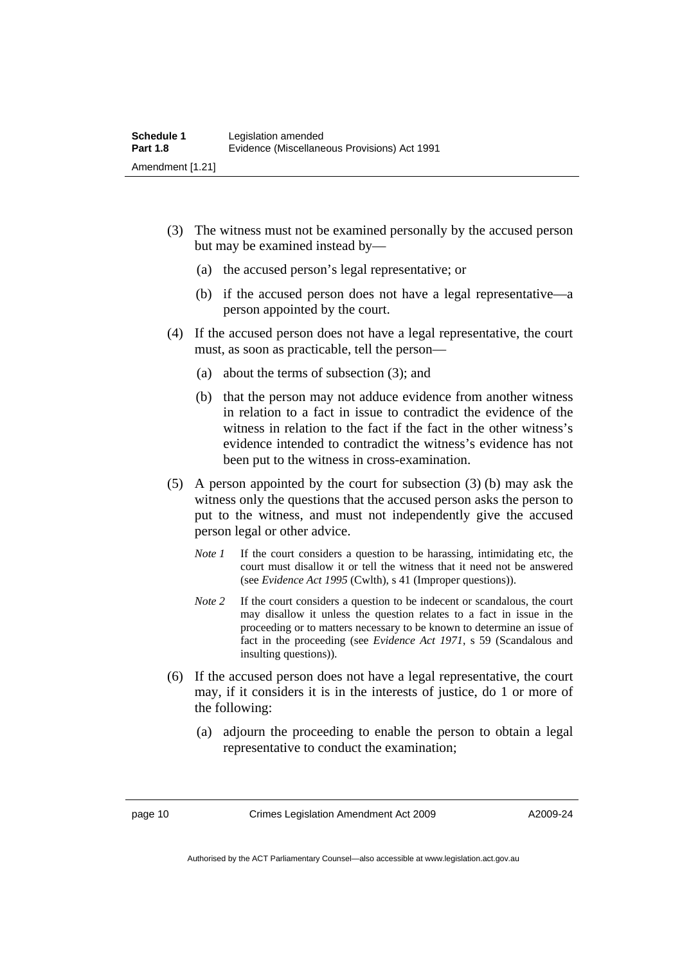- (3) The witness must not be examined personally by the accused person but may be examined instead by—
	- (a) the accused person's legal representative; or
	- (b) if the accused person does not have a legal representative—a person appointed by the court.
- (4) If the accused person does not have a legal representative, the court must, as soon as practicable, tell the person—
	- (a) about the terms of subsection (3); and
	- (b) that the person may not adduce evidence from another witness in relation to a fact in issue to contradict the evidence of the witness in relation to the fact if the fact in the other witness's evidence intended to contradict the witness's evidence has not been put to the witness in cross-examination.
- (5) A person appointed by the court for subsection (3) (b) may ask the witness only the questions that the accused person asks the person to put to the witness, and must not independently give the accused person legal or other advice.
	- *Note 1* If the court considers a question to be harassing, intimidating etc, the court must disallow it or tell the witness that it need not be answered (see *Evidence Act 1995* (Cwlth), s 41 (Improper questions)).
	- *Note* 2 If the court considers a question to be indecent or scandalous, the court may disallow it unless the question relates to a fact in issue in the proceeding or to matters necessary to be known to determine an issue of fact in the proceeding (see *Evidence Act 1971*, s 59 (Scandalous and insulting questions)).
- (6) If the accused person does not have a legal representative, the court may, if it considers it is in the interests of justice, do 1 or more of the following:
	- (a) adjourn the proceeding to enable the person to obtain a legal representative to conduct the examination;

page 10 Crimes Legislation Amendment Act 2009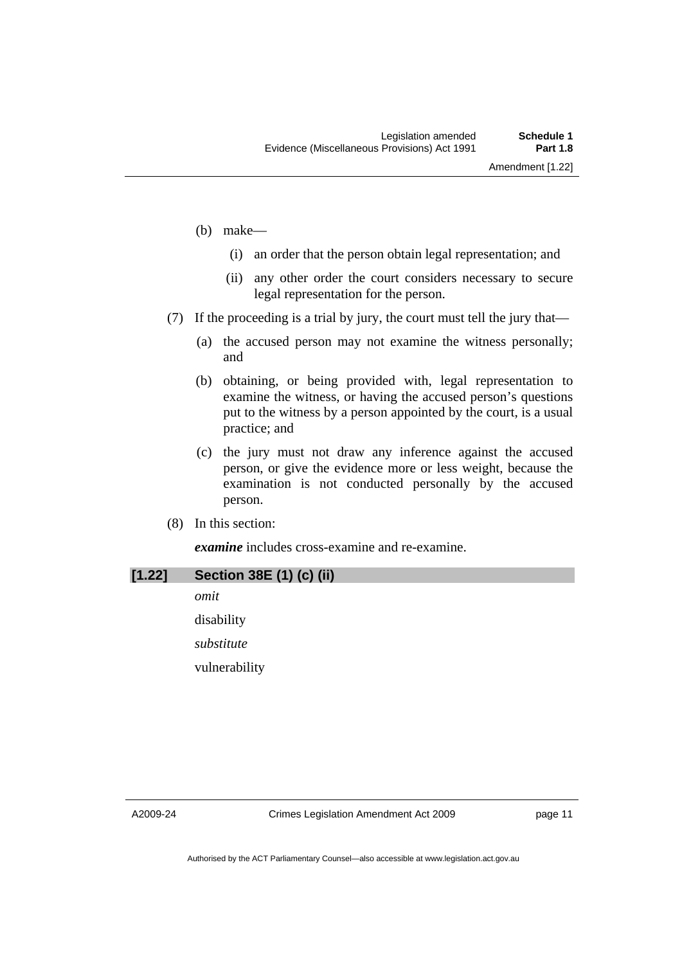- (b) make—
	- (i) an order that the person obtain legal representation; and
	- (ii) any other order the court considers necessary to secure legal representation for the person.
- (7) If the proceeding is a trial by jury, the court must tell the jury that—
	- (a) the accused person may not examine the witness personally; and
	- (b) obtaining, or being provided with, legal representation to examine the witness, or having the accused person's questions put to the witness by a person appointed by the court, is a usual practice; and
	- (c) the jury must not draw any inference against the accused person, or give the evidence more or less weight, because the examination is not conducted personally by the accused person.
- (8) In this section:

*examine* includes cross-examine and re-examine.

| [1.22] | Section 38E (1) (c) (ii) |
|--------|--------------------------|
|        | omit                     |
|        | disability               |
|        | substitute               |
|        | vulnerability            |
|        |                          |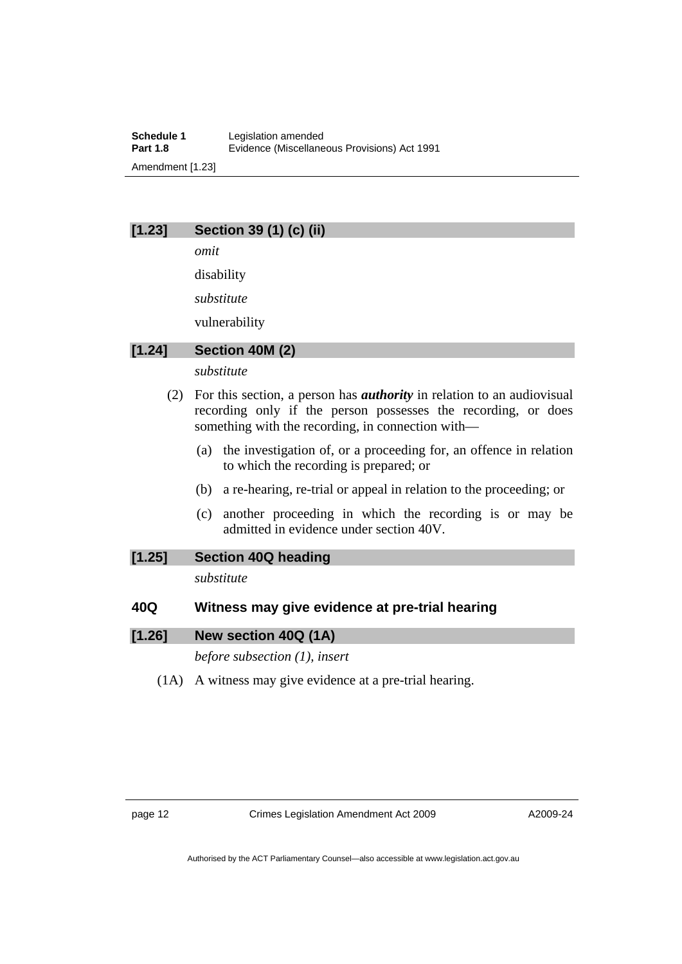## **[1.23] Section 39 (1) (c) (ii)**

*omit* 

disability

*substitute* 

vulnerability

## **[1.24] Section 40M (2)**

*substitute* 

- (2) For this section, a person has *authority* in relation to an audiovisual recording only if the person possesses the recording, or does something with the recording, in connection with—
	- (a) the investigation of, or a proceeding for, an offence in relation to which the recording is prepared; or
	- (b) a re-hearing, re-trial or appeal in relation to the proceeding; or
	- (c) another proceeding in which the recording is or may be admitted in evidence under section 40V.

## **[1.25] Section 40Q heading**

*substitute* 

# **40Q Witness may give evidence at pre-trial hearing**

## **[1.26] New section 40Q (1A)**

*before subsection (1), insert* 

(1A) A witness may give evidence at a pre-trial hearing.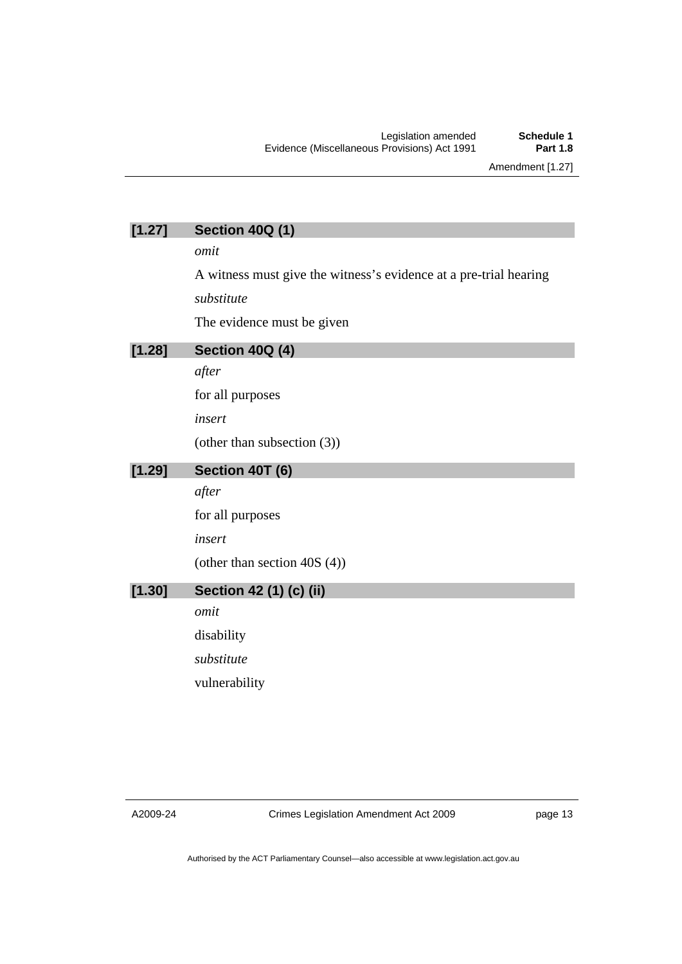# **[1.27] Section 40Q (1)**

*omit* 

A witness must give the witness's evidence at a pre-trial hearing *substitute* 

The evidence must be given

## **[1.28] Section 40Q (4)**

*after* 

for all purposes

*insert* 

(other than subsection (3))

### **[1.29] Section 40T (6)**

*after* 

for all purposes

*insert* 

(other than section 40S (4))

# **[1.30] Section 42 (1) (c) (ii)**

*omit*  disability

*substitute* 

vulnerability

Crimes Legislation Amendment Act 2009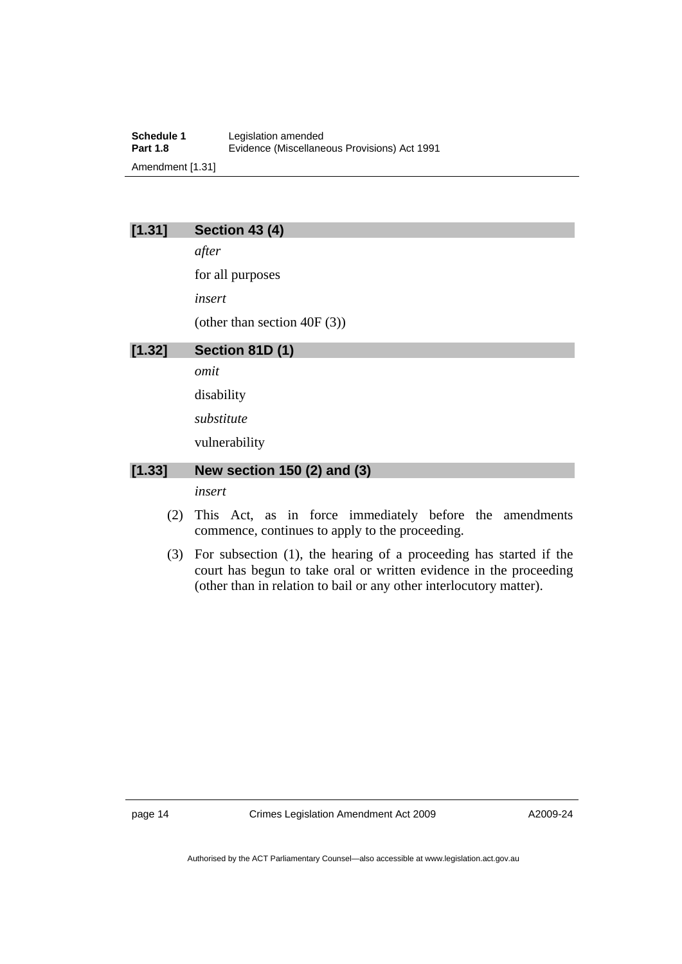**Schedule 1** Legislation amended<br> **Part 1.8** Evidence (Miscellane **Part 1.8** Evidence (Miscellaneous Provisions) Act 1991 Amendment [1.31]

## **[1.31] Section 43 (4)**

*after* 

for all purposes

*insert* 

(other than section 40F (3))

### **[1.32] Section 81D (1)**

*omit* 

disability

*substitute* 

vulnerability

### **[1.33] New section 150 (2) and (3)**

*insert* 

- (2) This Act, as in force immediately before the amendments commence, continues to apply to the proceeding.
- (3) For subsection (1), the hearing of a proceeding has started if the court has begun to take oral or written evidence in the proceeding (other than in relation to bail or any other interlocutory matter).

page 14 Crimes Legislation Amendment Act 2009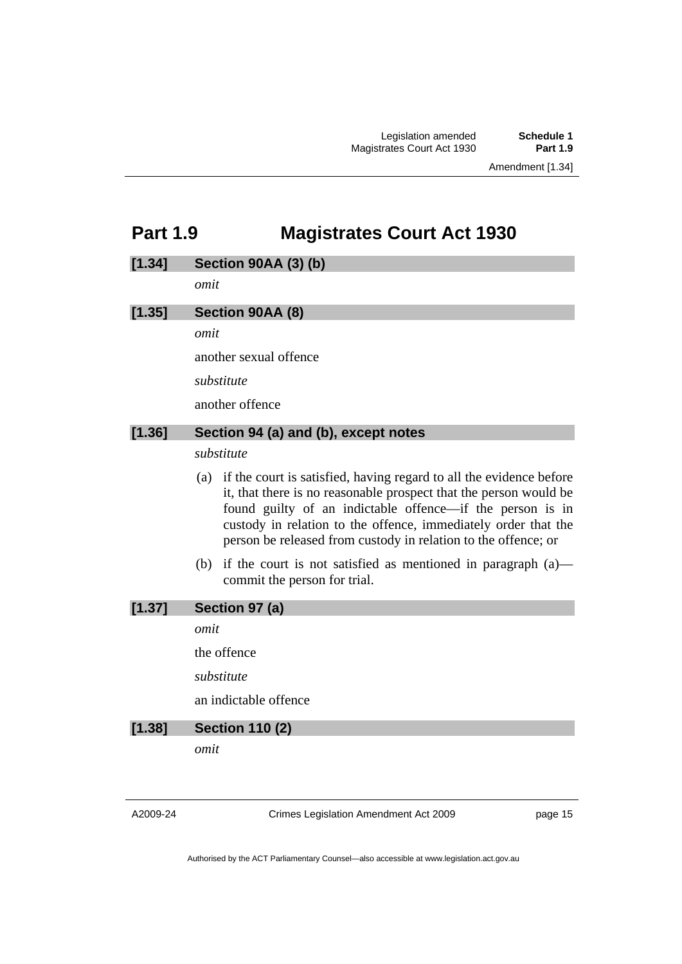# <span id="page-16-0"></span>**Part 1.9 Magistrates Court Act 1930**

| [1.34] | <b>Section 90AA (3) (b)</b>                                                                                                                                                                                                                                                                                                                   |
|--------|-----------------------------------------------------------------------------------------------------------------------------------------------------------------------------------------------------------------------------------------------------------------------------------------------------------------------------------------------|
|        | omit                                                                                                                                                                                                                                                                                                                                          |
| [1.35] | Section 90AA (8)                                                                                                                                                                                                                                                                                                                              |
|        | omit                                                                                                                                                                                                                                                                                                                                          |
|        | another sexual offence                                                                                                                                                                                                                                                                                                                        |
|        | substitute                                                                                                                                                                                                                                                                                                                                    |
|        | another offence                                                                                                                                                                                                                                                                                                                               |
| [1.36] | Section 94 (a) and (b), except notes                                                                                                                                                                                                                                                                                                          |
|        | substitute                                                                                                                                                                                                                                                                                                                                    |
|        | (a) if the court is satisfied, having regard to all the evidence before<br>it, that there is no reasonable prospect that the person would be<br>found guilty of an indictable offence—if the person is in<br>custody in relation to the offence, immediately order that the<br>person be released from custody in relation to the offence; or |
|        | if the court is not satisfied as mentioned in paragraph $(a)$ —<br>(b)<br>commit the person for trial.                                                                                                                                                                                                                                        |
| [1.37] | Section 97 (a)                                                                                                                                                                                                                                                                                                                                |
|        | omit                                                                                                                                                                                                                                                                                                                                          |
|        | the offence                                                                                                                                                                                                                                                                                                                                   |
|        | substitute                                                                                                                                                                                                                                                                                                                                    |
|        | an indictable offence                                                                                                                                                                                                                                                                                                                         |
| [1.38] | <b>Section 110 (2)</b>                                                                                                                                                                                                                                                                                                                        |
|        | omit                                                                                                                                                                                                                                                                                                                                          |
|        |                                                                                                                                                                                                                                                                                                                                               |

A2009-24

Crimes Legislation Amendment Act 2009

page 15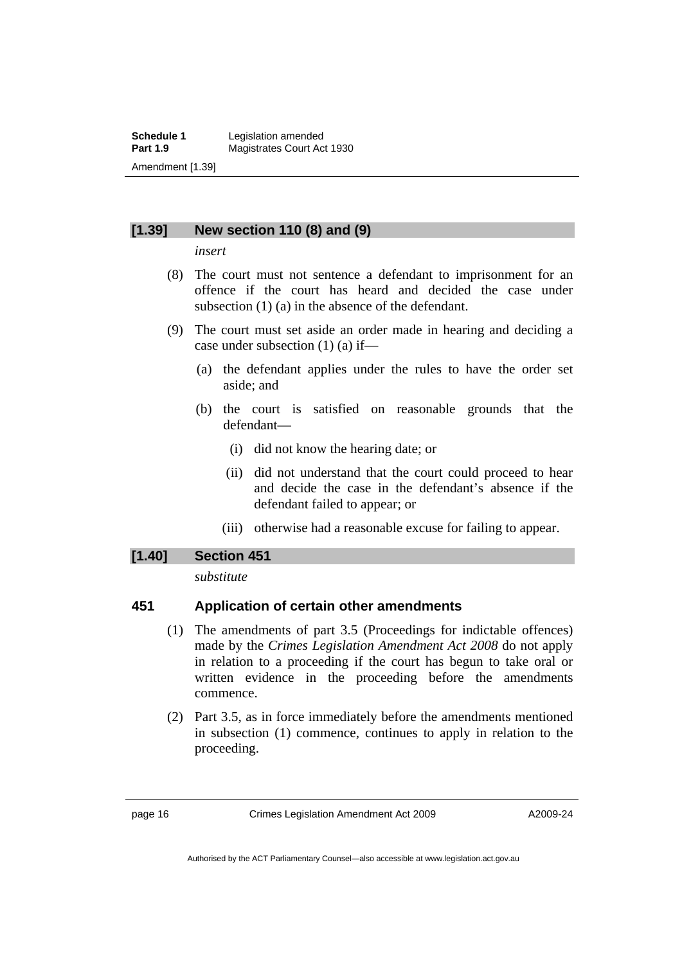### **[1.39] New section 110 (8) and (9)**

*insert* 

- (8) The court must not sentence a defendant to imprisonment for an offence if the court has heard and decided the case under subsection (1) (a) in the absence of the defendant.
- (9) The court must set aside an order made in hearing and deciding a case under subsection (1) (a) if—
	- (a) the defendant applies under the rules to have the order set aside; and
	- (b) the court is satisfied on reasonable grounds that the defendant—
		- (i) did not know the hearing date; or
		- (ii) did not understand that the court could proceed to hear and decide the case in the defendant's absence if the defendant failed to appear; or
		- (iii) otherwise had a reasonable excuse for failing to appear.

### **[1.40] Section 451**

*substitute* 

### **451 Application of certain other amendments**

- (1) The amendments of part 3.5 (Proceedings for indictable offences) made by the *Crimes Legislation Amendment Act 2008* do not apply in relation to a proceeding if the court has begun to take oral or written evidence in the proceeding before the amendments commence.
- (2) Part 3.5, as in force immediately before the amendments mentioned in subsection (1) commence, continues to apply in relation to the proceeding.

page 16 Crimes Legislation Amendment Act 2009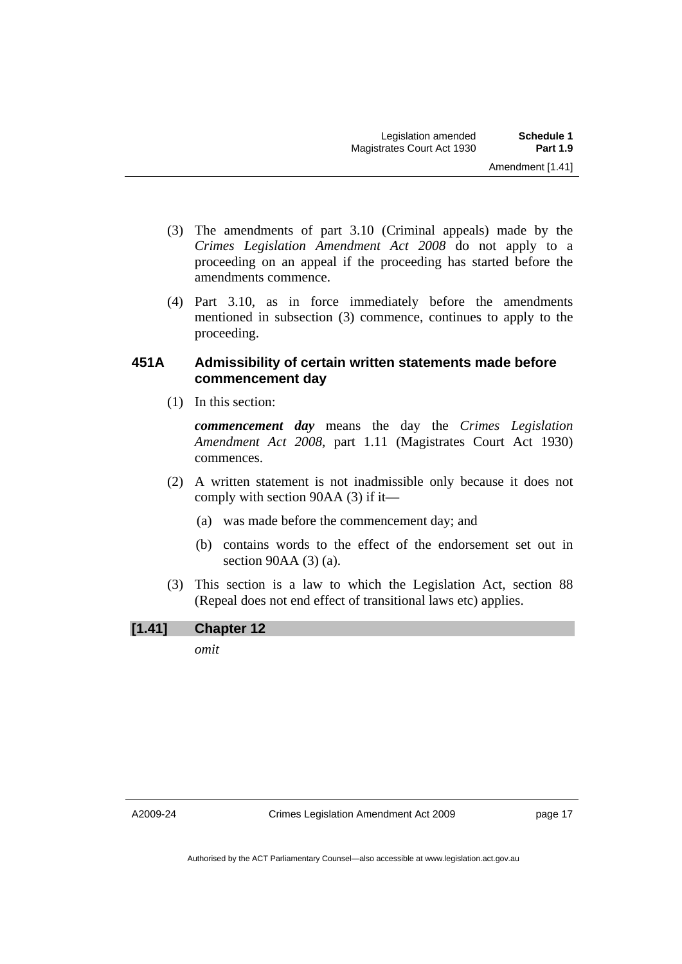- (3) The amendments of part 3.10 (Criminal appeals) made by the *Crimes Legislation Amendment Act 2008* do not apply to a proceeding on an appeal if the proceeding has started before the amendments commence.
- (4) Part 3.10, as in force immediately before the amendments mentioned in subsection (3) commence, continues to apply to the proceeding.

### **451A Admissibility of certain written statements made before commencement day**

(1) In this section:

*commencement day* means the day the *Crimes Legislation Amendment Act 2008*, part 1.11 (Magistrates Court Act 1930) commences.

- (2) A written statement is not inadmissible only because it does not comply with section 90AA (3) if it—
	- (a) was made before the commencement day; and
	- (b) contains words to the effect of the endorsement set out in section 90AA (3) (a).
- (3) This section is a law to which the Legislation Act, section 88 (Repeal does not end effect of transitional laws etc) applies.

# **[1.41] Chapter 12**

*omit*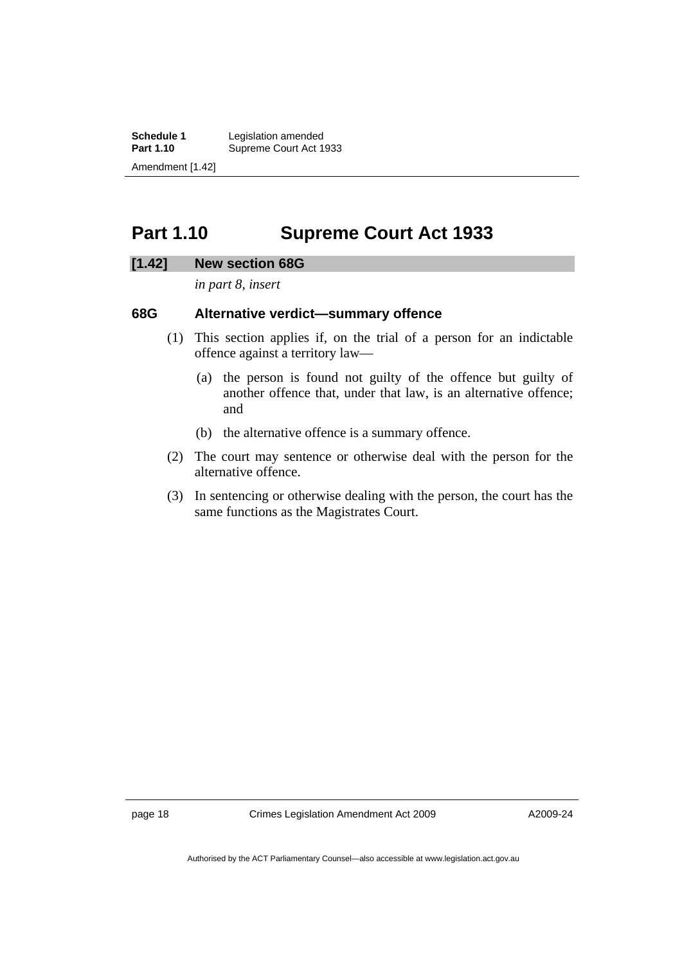<span id="page-19-0"></span>**Schedule 1** Legislation amended<br> **Part 1.10** Supreme Court Act 1 Supreme Court Act 1933 Amendment [1.42]

# **Part 1.10 Supreme Court Act 1933**

#### **[1.42] New section 68G**

*in part 8, insert* 

### **68G Alternative verdict—summary offence**

- (1) This section applies if, on the trial of a person for an indictable offence against a territory law—
	- (a) the person is found not guilty of the offence but guilty of another offence that, under that law, is an alternative offence; and
	- (b) the alternative offence is a summary offence.
- (2) The court may sentence or otherwise deal with the person for the alternative offence.
- (3) In sentencing or otherwise dealing with the person, the court has the same functions as the Magistrates Court.

page 18 Crimes Legislation Amendment Act 2009